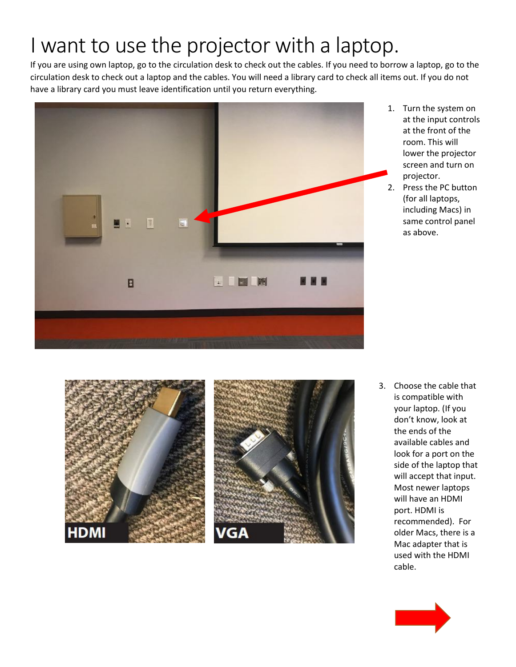## I want to use the projector with a laptop.

If you are using own laptop, go to the circulation desk to check out the cables. If you need to borrow a laptop, go to the circulation desk to check out a laptop and the cables. You will need a library card to check all items out. If you do not have a library card you must leave identification until you return everything.



- 1. Turn the system on at the input controls at the front of the room. This will lower the projector screen and turn on projector.
- 2. Press the PC button (for all laptops, including Macs) in same control panel as above.





3. Choose the cable that is compatible with your laptop. (If you don't know, look at the ends of the available cables and look for a port on the side of the laptop that will accept that input. Most newer laptops will have an HDMI port. HDMI is recommended). For older Macs, there is a Mac adapter that is used with the HDMI cable.